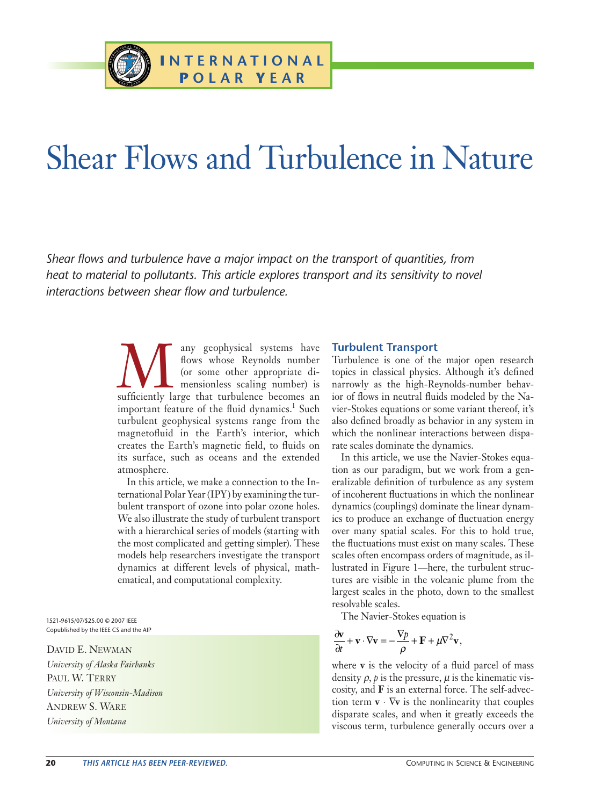# Shear Flows and Turbulence in Nature

*Shear flows and turbulence have a major impact on the transport of quantities, from heat to material to pollutants. This article explores transport and its sensitivity to novel interactions between shear flow and turbulence.*

> Muss whose Reynolds number<br>
> (or some other appropriate di-<br>
> mensionless scaling number) is<br>
> sufficiently large that turbulence becomes an flows whose Reynolds number (or some other appropriate dimensionless scaling number) is important feature of the fluid dynamics.<sup>1</sup> Such turbulent geophysical systems range from the magnetofluid in the Earth's interior, which creates the Earth's magnetic field, to fluids on its surface, such as oceans and the extended atmosphere.

> In this article, we make a connection to the International Polar Year (IPY) by examining the turbulent transport of ozone into polar ozone holes. We also illustrate the study of turbulent transport with a hierarchical series of models (starting with the most complicated and getting simpler). These models help researchers investigate the transport dynamics at different levels of physical, mathematical, and computational complexity.

1521-9615/07/\$25.00 © 2007 IEEE Copublished by the IEEE CS and the AIP

David E. Newman *University of Alaska Fairbanks* PAUL W. TERRY *University of Wisconsin-Madison* Andrew S. Ware *University of Montana*

#### **Turbulent Transport**

Turbulence is one of the major open research topics in classical physics. Although it's defined narrowly as the high-Reynolds-number behavior of flows in neutral fluids modeled by the Navier-Stokes equations or some variant thereof, it's also defined broadly as behavior in any system in which the nonlinear interactions between disparate scales dominate the dynamics.

In this article, we use the Navier-Stokes equation as our paradigm, but we work from a generalizable definition of turbulence as any system of incoherent fluctuations in which the nonlinear dynamics (couplings) dominate the linear dynamics to produce an exchange of fluctuation energy over many spatial scales. For this to hold true, the fluctuations must exist on many scales. These scales often encompass orders of magnitude, as illustrated in Figure 1—here, the turbulent structures are visible in the volcanic plume from the largest scales in the photo, down to the smallest resolvable scales.

The Navier-Stokes equation is

$$
\frac{\partial \mathbf{v}}{\partial t} + \mathbf{v} \cdot \nabla \mathbf{v} = -\frac{\nabla p}{\rho} + \mathbf{F} + \mu \nabla^2 \mathbf{v},
$$

where **v** is the velocity of a fluid parcel of mass density  $\rho$ ,  $p$  is the pressure,  $\mu$  is the kinematic viscosity, and **F** is an external force. The self-advection term  $\mathbf{v} \cdot \nabla \mathbf{v}$  is the nonlinearity that couples disparate scales, and when it greatly exceeds the viscous term, turbulence generally occurs over a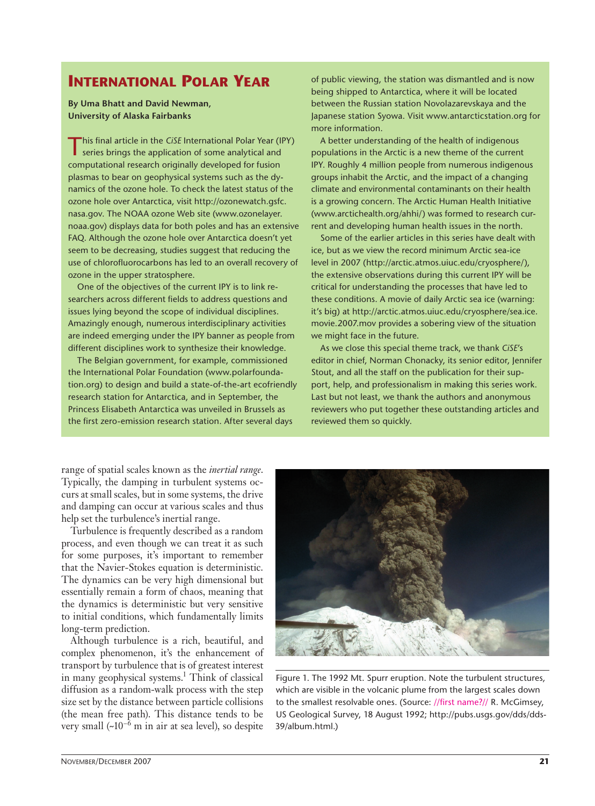## **International Polar Year**

**By Uma Bhatt and David Newman, University of Alaska Fairbanks**

This final article in the *CiSE* International Polar Year (IPY) series brings the application of some analytical and computational research originally developed for fusion plasmas to bear on geophysical systems such as the dynamics of the ozone hole. To check the latest status of the ozone hole over Antarctica, visit http://ozonewatch.gsfc. nasa.gov. The NOAA ozone Web site (www.ozonelayer. noaa.gov) displays data for both poles and has an extensive FAQ. Although the ozone hole over Antarctica doesn't yet seem to be decreasing, studies suggest that reducing the use of chlorofluorocarbons has led to an overall recovery of ozone in the upper stratosphere.

One of the objectives of the current IPY is to link researchers across different fields to address questions and issues lying beyond the scope of individual disciplines. Amazingly enough, numerous interdisciplinary activities are indeed emerging under the IPY banner as people from different disciplines work to synthesize their knowledge.

The Belgian government, for example, commissioned the International Polar Foundation (www.polarfoundation.org) to design and build a state-of-the-art ecofriendly research station for Antarctica, and in September, the Princess Elisabeth Antarctica was unveiled in Brussels as the first zero-emission research station. After several days

of public viewing, the station was dismantled and is now being shipped to Antarctica, where it will be located between the Russian station Novolazarevskaya and the Japanese station Syowa. Visit www.antarcticstation.org for more information.

A better understanding of the health of indigenous populations in the Arctic is a new theme of the current IPY. Roughly 4 million people from numerous indigenous groups inhabit the Arctic, and the impact of a changing climate and environmental contaminants on their health is a growing concern. The Arctic Human Health Initiative (www.arctichealth.org/ahhi/) was formed to research current and developing human health issues in the north.

Some of the earlier articles in this series have dealt with ice, but as we view the record minimum Arctic sea-ice level in 2007 (http://arctic.atmos.uiuc.edu/cryosphere/), the extensive observations during this current IPY will be critical for understanding the processes that have led to these conditions. A movie of daily Arctic sea ice (warning: it's big) at http://arctic.atmos.uiuc.edu/cryosphere/sea.ice. movie.2007.mov provides a sobering view of the situation we might face in the future.

As we close this special theme track, we thank *CiSE*'s editor in chief, Norman Chonacky, its senior editor, Jennifer Stout, and all the staff on the publication for their support, help, and professionalism in making this series work. Last but not least, we thank the authors and anonymous reviewers who put together these outstanding articles and reviewed them so quickly.

range of spatial scales known as the *inertial range*. Typically, the damping in turbulent systems occurs at small scales, but in some systems, the drive and damping can occur at various scales and thus help set the turbulence's inertial range.

Turbulence is frequently described as a random process, and even though we can treat it as such for some purposes, it's important to remember that the Navier-Stokes equation is deterministic. The dynamics can be very high dimensional but essentially remain a form of chaos, meaning that the dynamics is deterministic but very sensitive to initial conditions, which fundamentally limits long-term prediction.

Although turbulence is a rich, beautiful, and complex phenomenon, it's the enhancement of transport by turbulence that is of greatest interest in many geophysical systems.<sup>1</sup> Think of classical diffusion as a random-walk process with the step size set by the distance between particle collisions (the mean free path). This distance tends to be very small  $(-10^{-6}$  m in air at sea level), so despite



Figure 1. The 1992 Mt. Spurr eruption. Note the turbulent structures, which are visible in the volcanic plume from the largest scales down to the smallest resolvable ones. (Source: //first name?// R. McGimsey, US Geological Survey, 18 August 1992; http://pubs.usgs.gov/dds/dds-39/album.html.)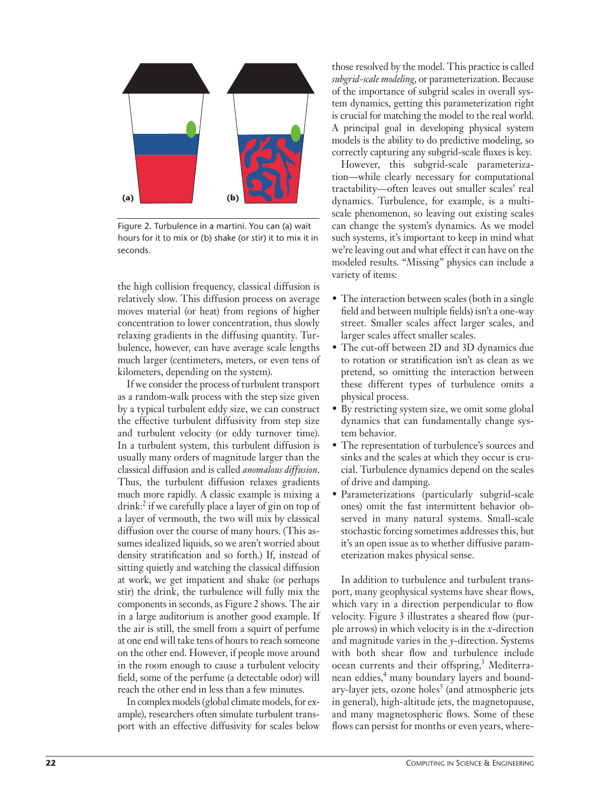

Figure 2. Turbulence in a martini. You can (a) wait hours for it to mix or (b) shake (or stir) it to mix it in seconds.

the high collision frequency, classical diffusion is relatively slow. This diffusion process on average moves material (or heat) from regions of higher concentration to lower concentration, thus slowly relaxing gradients in the diffusing quantity. Turbulence, however, can have average scale lengths much larger (centimeters, meters, or even tens of kilometers, depending on the system).

If we consider the process of turbulent transport as a random-walk process with the step size given by a typical turbulent eddy size, we can construct the effective turbulent diffusivity from step size and turbulent velocity (or eddy turnover time). In a turbulent system, this turbulent diffusion is usually many orders of magnitude larger than the classical diffusion and is called *anomalous diffusion*. Thus, the turbulent diffusion relaxes gradients much more rapidly. A classic example is mixing a drink:<sup>2</sup> if we carefully place a layer of gin on top of a layer of vermouth, the two will mix by classical diffusion over the course of many hours. (This assumes idealized liquids, so we aren't worried about density stratification and so forth.) If, instead of sitting quietly and watching the classical diffusion at work, we get impatient and shake (or perhaps stir) the drink, the turbulence will fully mix the components in seconds, as Figure 2 shows. The air in a large auditorium is another good example. If the air is still, the smell from a squirt of perfume at one end will take tens of hours to reach someone on the other end. However, if people move around in the room enough to cause a turbulent velocity field, some of the perfume (a detectable odor) will reach the other end in less than a few minutes.

In complex models (global climate models, for example), researchers often simulate turbulent transport with an effective diffusivity for scales below

those resolved by the model. This practice is called *subgrid-scale modeling*, or parameterization. Because of the importance of subgrid scales in overall system dynamics, getting this parameterization right is crucial for matching the model to the real world. A principal goal in developing physical system models is the ability to do predictive modeling, so correctly capturing any subgrid-scale fluxes is key.

However, this subgrid-scale parameterization—while clearly necessary for computational tractability—often leaves out smaller scales' real dynamics. Turbulence, for example, is a multiscale phenomenon, so leaving out existing scales can change the system's dynamics. As we model such systems, it's important to keep in mind what we're leaving out and what effect it can have on the modeled results. "Missing" physics can include a variety of items:

- The interaction between scales (both in a single field and between multiple fields) isn't a one-way street. Smaller scales affect larger scales, and larger scales affect smaller scales.
- The cut-off between 2D and 3D dynamics due to rotation or stratification isn't as clean as we pretend, so omitting the interaction between these different types of turbulence omits a physical process.
- By restricting system size, we omit some global dynamics that can fundamentally change system behavior.
- The representation of turbulence's sources and sinks and the scales at which they occur is crucial. Turbulence dynamics depend on the scales of drive and damping.
- Parameterizations (particularly subgrid-scale ones) omit the fast intermittent behavior observed in many natural systems. Small-scale stochastic forcing sometimes addresses this, but it's an open issue as to whether diffusive parameterization makes physical sense.

In addition to turbulence and turbulent transport, many geophysical systems have shear flows, which vary in a direction perpendicular to flow velocity. Figure 3 illustrates a sheared flow (purple arrows) in which velocity is in the *x*-direction and magnitude varies in the *y*-direction. Systems with both shear flow and turbulence include ocean currents and their offspring,<sup>3</sup> Mediterranean eddies,<sup>4</sup> many boundary layers and boundary-layer jets, ozone holes<sup>5</sup> (and atmospheric jets in general), high-altitude jets, the magnetopause, and many magnetospheric flows. Some of these flows can persist for months or even years, where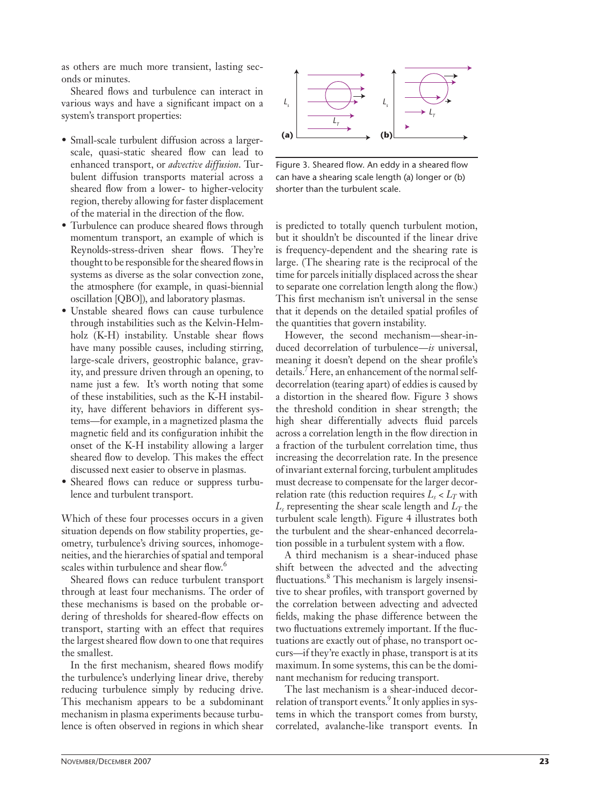as others are much more transient, lasting seconds or minutes.

Sheared flows and turbulence can interact in various ways and have a significant impact on a system's transport properties:

- Small-scale turbulent diffusion across a largerscale, quasi-static sheared flow can lead to enhanced transport, or *advective diffusion*. Turbulent diffusion transports material across a sheared flow from a lower- to higher-velocity region, thereby allowing for faster displacement of the material in the direction of the flow.
- Turbulence can produce sheared flows through momentum transport, an example of which is Reynolds-stress-driven shear flows. They're thought to be responsible for the sheared flows in systems as diverse as the solar convection zone, the atmosphere (for example, in quasi-biennial oscillation [QBO]), and laboratory plasmas. •
- Unstable sheared flows can cause turbulence through instabilities such as the Kelvin-Helmholz (K-H) instability. Unstable shear flows have many possible causes, including stirring, large-scale drivers, geostrophic balance, gravity, and pressure driven through an opening, to name just a few. It's worth noting that some of these instabilities, such as the K-H instability, have different behaviors in different systems—for example, in a magnetized plasma the magnetic field and its configuration inhibit the onset of the K-H instability allowing a larger sheared flow to develop. This makes the effect discussed next easier to observe in plasmas. •
- Sheared flows can reduce or suppress turbulence and turbulent transport.

Which of these four processes occurs in a given situation depends on flow stability properties, geometry, turbulence's driving sources, inhomogeneities, and the hierarchies of spatial and temporal scales within turbulence and shear flow.<sup>6</sup>

Sheared flows can reduce turbulent transport through at least four mechanisms. The order of these mechanisms is based on the probable ordering of thresholds for sheared-flow effects on transport, starting with an effect that requires the largest sheared flow down to one that requires the smallest.

In the first mechanism, sheared flows modify the turbulence's underlying linear drive, thereby reducing turbulence simply by reducing drive. This mechanism appears to be a subdominant mechanism in plasma experiments because turbulence is often observed in regions in which shear



Figure 3. Sheared flow. An eddy in a sheared flow can have a shearing scale length (a) longer or (b) shorter than the turbulent scale.

is predicted to totally quench turbulent motion, but it shouldn't be discounted if the linear drive is frequency-dependent and the shearing rate is large. (The shearing rate is the reciprocal of the time for parcels initially displaced across the shear to separate one correlation length along the flow.) This first mechanism isn't universal in the sense that it depends on the detailed spatial profiles of the quantities that govern instability.

However, the second mechanism—shear-induced decorrelation of turbulence—*is* universal, meaning it doesn't depend on the shear profile's details.<sup>7</sup> Here, an enhancement of the normal selfdecorrelation (tearing apart) of eddies is caused by a distortion in the sheared flow. Figure 3 shows the threshold condition in shear strength; the high shear differentially advects fluid parcels across a correlation length in the flow direction in a fraction of the turbulent correlation time, thus increasing the decorrelation rate. In the presence of invariant external forcing, turbulent amplitudes must decrease to compensate for the larger decorrelation rate (this reduction requires  $L<sub>s</sub> < L<sub>T</sub>$  with  $L<sub>s</sub>$  representing the shear scale length and  $L<sub>T</sub>$  the turbulent scale length). Figure 4 illustrates both the turbulent and the shear-enhanced decorrelation possible in a turbulent system with a flow.

A third mechanism is a shear-induced phase shift between the advected and the advecting fluctuations.<sup>8</sup> This mechanism is largely insensitive to shear profiles, with transport governed by the correlation between advecting and advected fields, making the phase difference between the two fluctuations extremely important. If the fluctuations are exactly out of phase, no transport occurs—if they're exactly in phase, transport is at its maximum. In some systems, this can be the dominant mechanism for reducing transport.

The last mechanism is a shear-induced decorrelation of transport events.<sup>9</sup> It only applies in systems in which the transport comes from bursty, correlated, avalanche-like transport events. In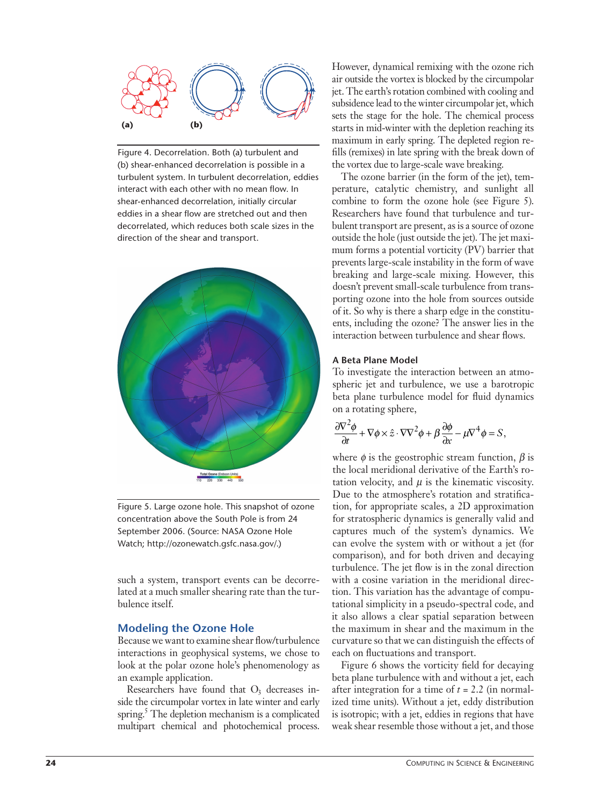

Figure 4. Decorrelation. Both (a) turbulent and (b) shear-enhanced decorrelation is possible in a turbulent system. In turbulent decorrelation, eddies interact with each other with no mean flow. In shear-enhanced decorrelation, initially circular eddies in a shear flow are stretched out and then decorrelated, which reduces both scale sizes in the direction of the shear and transport.



Figure 5. Large ozone hole. This snapshot of ozone concentration above the South Pole is from 24 September 2006. (Source: NASA Ozone Hole Watch; http://ozonewatch.gsfc.nasa.gov/.)

such a system, transport events can be decorrelated at a much smaller shearing rate than the turbulence itself.

### **Modeling the Ozone Hole**

Because we want to examine shear flow/turbulence interactions in geophysical systems, we chose to look at the polar ozone hole's phenomenology as an example application.

Researchers have found that  $O<sub>3</sub>$  decreases inside the circumpolar vortex in late winter and early spring.<sup>5</sup> The depletion mechanism is a complicated multipart chemical and photochemical process.

However, dynamical remixing with the ozone rich air outside the vortex is blocked by the circumpolar jet. The earth's rotation combined with cooling and subsidence lead to the winter circumpolar jet, which sets the stage for the hole. The chemical process starts in mid-winter with the depletion reaching its maximum in early spring. The depleted region refills (remixes) in late spring with the break down of the vortex due to large-scale wave breaking.

The ozone barrier (in the form of the jet), temperature, catalytic chemistry, and sunlight all combine to form the ozone hole (see Figure 5). Researchers have found that turbulence and turbulent transport are present, as is a source of ozone outside the hole (just outside the jet). The jet maximum forms a potential vorticity (PV) barrier that prevents large-scale instability in the form of wave breaking and large-scale mixing. However, this doesn't prevent small-scale turbulence from transporting ozone into the hole from sources outside of it. So why is there a sharp edge in the constituents, including the ozone? The answer lies in the interaction between turbulence and shear flows.

#### **A Beta Plane Model**

To investigate the interaction between an atmospheric jet and turbulence, we use a barotropic beta plane turbulence model for fluid dynamics on a rotating sphere,

$$
\frac{\partial \nabla^2 \phi}{\partial t} + \nabla \phi \times \hat{z} \cdot \nabla \nabla^2 \phi + \beta \frac{\partial \phi}{\partial x} - \mu \nabla^4 \phi = S,
$$

where  $\phi$  is the geostrophic stream function,  $\beta$  is the local meridional derivative of the Earth's rotation velocity, and  $\mu$  is the kinematic viscosity. Due to the atmosphere's rotation and stratification, for appropriate scales, a 2D approximation for stratospheric dynamics is generally valid and captures much of the system's dynamics. We can evolve the system with or without a jet (for comparison), and for both driven and decaying turbulence. The jet flow is in the zonal direction with a cosine variation in the meridional direction. This variation has the advantage of computational simplicity in a pseudo-spectral code, and it also allows a clear spatial separation between the maximum in shear and the maximum in the curvature so that we can distinguish the effects of each on fluctuations and transport.

Figure 6 shows the vorticity field for decaying beta plane turbulence with and without a jet, each after integration for a time of *t* = 2.2 (in normalized time units). Without a jet, eddy distribution is isotropic; with a jet, eddies in regions that have weak shear resemble those without a jet, and those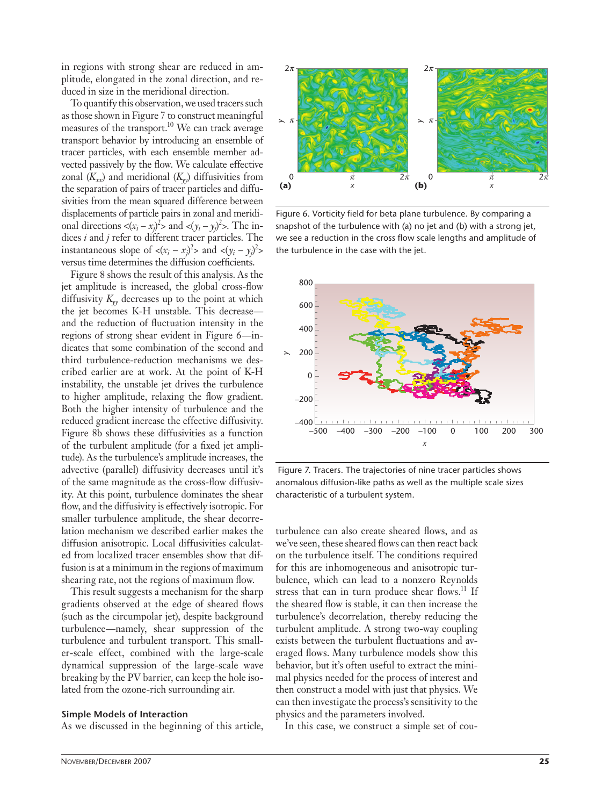in regions with strong shear are reduced in amplitude, elongated in the zonal direction, and reduced in size in the meridional direction.

To quantify this observation, we used tracers such as those shown in Figure 7 to construct meaningful measures of the transport.<sup>10</sup> We can track average transport behavior by introducing an ensemble of tracer particles, with each ensemble member advected passively by the flow. We calculate effective zonal  $(K_{xx})$  and meridional  $(K_{yy})$  diffusivities from the separation of pairs of tracer particles and diffusivities from the mean squared difference between displacements of particle pairs in zonal and meridional directions  $\langle (x_i - x_j)^2 \rangle$  and  $\langle (y_i - y_j)^2 \rangle$ . The indices *i* and *j* refer to different tracer particles. The instantaneous slope of  $\langle (x_i - x_j)^2 \rangle$  and  $\langle (y_i - y_j)^2 \rangle$ versus time determines the diffusion coefficients.

Figure 8 shows the result of this analysis. As the jet amplitude is increased, the global cross-flow diffusivity  $K_{yy}$  decreases up to the point at which the jet becomes K-H unstable. This decrease and the reduction of fluctuation intensity in the regions of strong shear evident in Figure 6—indicates that some combination of the second and third turbulence-reduction mechanisms we described earlier are at work. At the point of K-H instability, the unstable jet drives the turbulence to higher amplitude, relaxing the flow gradient. Both the higher intensity of turbulence and the reduced gradient increase the effective diffusivity. Figure 8b shows these diffusivities as a function of the turbulent amplitude (for a fixed jet amplitude). As the turbulence's amplitude increases, the advective (parallel) diffusivity decreases until it's of the same magnitude as the cross-flow diffusivity. At this point, turbulence dominates the shear flow, and the diffusivity is effectively isotropic. For smaller turbulence amplitude, the shear decorrelation mechanism we described earlier makes the diffusion anisotropic. Local diffusivities calculated from localized tracer ensembles show that diffusion is at a minimum in the regions of maximum shearing rate, not the regions of maximum flow.

This result suggests a mechanism for the sharp gradients observed at the edge of sheared flows (such as the circumpolar jet), despite background turbulence—namely, shear suppression of the turbulence and turbulent transport. This smaller-scale effect, combined with the large-scale dynamical suppression of the large-scale wave breaking by the PV barrier, can keep the hole isolated from the ozone-rich surrounding air.

#### **Simple Models of Interaction**

As we discussed in the beginning of this article,



Figure 6. Vorticity field for beta plane turbulence. By comparing a snapshot of the turbulence with (a) no jet and (b) with a strong jet, we see a reduction in the cross flow scale lengths and amplitude of the turbulence in the case with the jet.



 Figure 7. Tracers. The trajectories of nine tracer particles shows anomalous diffusion-like paths as well as the multiple scale sizes characteristic of a turbulent system.

turbulence can also create sheared flows, and as we've seen, these sheared flows can then react back on the turbulence itself. The conditions required for this are inhomogeneous and anisotropic turbulence, which can lead to a nonzero Reynolds stress that can in turn produce shear flows.<sup>11</sup> If the sheared flow is stable, it can then increase the turbulence's decorrelation, thereby reducing the turbulent amplitude. A strong two-way coupling exists between the turbulent fluctuations and averaged flows. Many turbulence models show this behavior, but it's often useful to extract the minimal physics needed for the process of interest and then construct a model with just that physics. We can then investigate the process's sensitivity to the physics and the parameters involved.

In this case, we construct a simple set of cou-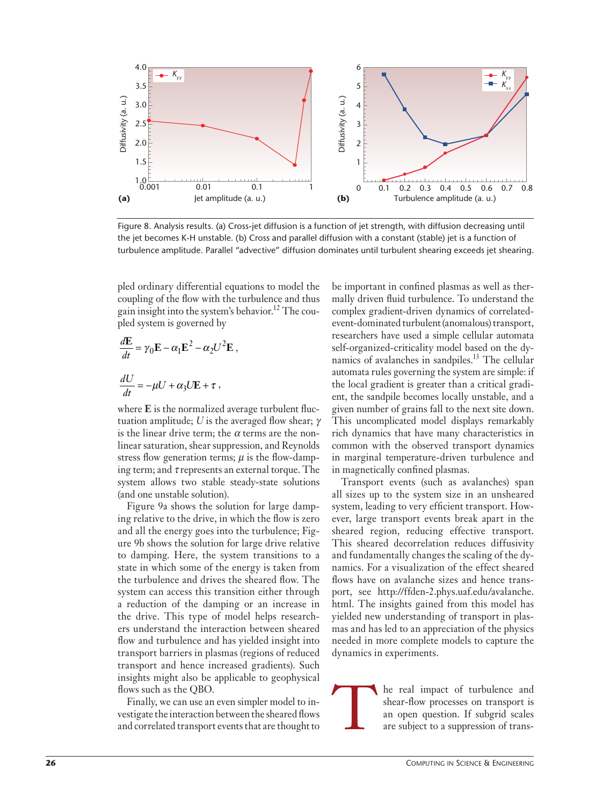

Figure 8. Analysis results. (a) Cross-jet diffusion is a function of jet strength, with diffusion decreasing until the jet becomes K-H unstable. (b) Cross and parallel diffusion with a constant (stable) jet is a function of turbulence amplitude. Parallel "advective" diffusion dominates until turbulent shearing exceeds jet shearing.

pled ordinary differential equations to model the coupling of the flow with the turbulence and thus gain insight into the system's behavior.<sup>12</sup> The coupled system is governed by

$$
\frac{d\mathbf{E}}{dt} = \gamma_0 \mathbf{E} - \alpha_1 \mathbf{E}^2 - \alpha_2 U^2 \mathbf{E},
$$

$$
\frac{dU}{dt} = -\mu U + \alpha_3 U \mathbf{E} + \tau,
$$

where **E** is the normalized average turbulent fluctuation amplitude;  $U$  is the averaged flow shear;  $\gamma$ is the linear drive term; the  $\alpha$  terms are the nonlinear saturation, shear suppression, and Reynolds stress flow generation terms;  $\mu$  is the flow-damping term; and  $\tau$  represents an external torque. The system allows two stable steady-state solutions (and one unstable solution).

Figure 9a shows the solution for large damping relative to the drive, in which the flow is zero and all the energy goes into the turbulence; Figure 9b shows the solution for large drive relative to damping. Here, the system transitions to a state in which some of the energy is taken from the turbulence and drives the sheared flow. The system can access this transition either through a reduction of the damping or an increase in the drive. This type of model helps researchers understand the interaction between sheared flow and turbulence and has yielded insight into transport barriers in plasmas (regions of reduced transport and hence increased gradients). Such insights might also be applicable to geophysical flows such as the QBO.

Finally, we can use an even simpler model to investigate the interaction between the sheared flows and correlated transport events that are thought to

be important in confined plasmas as well as thermally driven fluid turbulence. To understand the complex gradient-driven dynamics of correlatedevent-dominated turbulent (anomalous) transport, researchers have used a simple cellular automata self-organized-criticality model based on the dynamics of avalanches in sandpiles.<sup>13</sup> The cellular automata rules governing the system are simple: if the local gradient is greater than a critical gradient, the sandpile becomes locally unstable, and a given number of grains fall to the next site down. This uncomplicated model displays remarkably rich dynamics that have many characteristics in common with the observed transport dynamics in marginal temperature-driven turbulence and in magnetically confined plasmas.

Transport events (such as avalanches) span all sizes up to the system size in an unsheared system, leading to very efficient transport. However, large transport events break apart in the sheared region, reducing effective transport. This sheared decorrelation reduces diffusivity and fundamentally changes the scaling of the dynamics. For a visualization of the effect sheared flows have on avalanche sizes and hence transport, see http://ffden-2.phys.uaf.edu/avalanche. html. The insights gained from this model has yielded new understanding of transport in plasmas and has led to an appreciation of the physics needed in more complete models to capture the dynamics in experiments.

The real impact of turbulence and shear-flow processes on transport is an open question. If subgrid scales are subject to a suppression of transshear-flow processes on transport is an open question. If subgrid scales are subject to a suppression of trans-